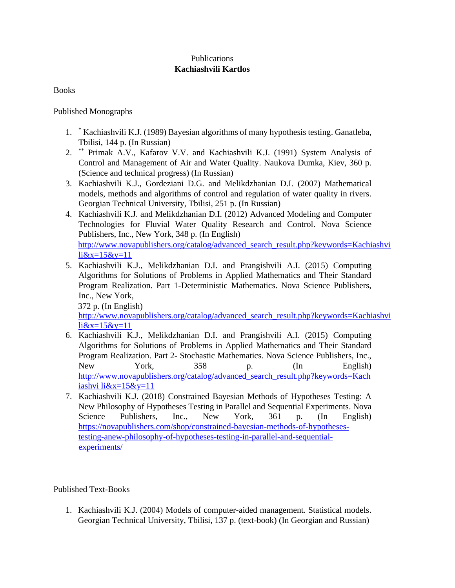## Publications **Kachiashvili Kartlos**

Books

Published Monographs

- 1. \* Kachiashvili K.J. (1989) Bayesian algorithms of many hypothesis testing. Ganatleba, Tbilisi, 144 p. (In Russian)
- 2. \*\* Primak A.V., Kafarov V.V. and Kachiashvili K.J. (1991) System Analysis of Control and Management of Air and Water Quality. Naukova Dumka, Kiev, 360 p. (Science and technical progress) (In Russian)
- 3. Kachiashvili K.J., Gordeziani D.G. and Melikdzhanian D.I. (2007) Mathematical models, methods and algorithms of control and regulation of water quality in rivers. Georgian Technical University, Tbilisi, 251 p. (In Russian)
- 4. Kachiashvili K.J. and Melikdzhanian D.I. (2012) Advanced Modeling and Computer Technologies for Fluvial Water Quality Research and Control. Nova Science Publishers, Inc., New York, 348 p. (In English) http://www.novapublishers.org/catalog/advanced\_search\_result.php?keywords=Kachiashvi  $li&x=15&y=11$
- 5. Kachiashvili K.J., Melikdzhanian D.I. and Prangishvili A.I. (2015) Computing Algorithms for Solutions of Problems in Applied Mathematics and Their Standard Program Realization. Part 1-Deterministic Mathematics. Nova Science Publishers, Inc., New York,

372 p. (In English)

http://www.novapublishers.org/catalog/advanced\_search\_result.php?keywords=Kachiashvi li&x=15&y=11

- 6. Kachiashvili K.J., Melikdzhanian D.I. and Prangishvili A.I. (2015) Computing Algorithms for Solutions of Problems in Applied Mathematics and Their Standard Program Realization. Part 2- Stochastic Mathematics. Nova Science Publishers, Inc., New York, 358 p. (In English) http://www.novapublishers.org/catalog/advanced\_search\_result.php?keywords=Kach iashvi li $&x=15&y=11$
- 7. Kachiashvili K.J. (2018) Constrained Bayesian Methods of Hypotheses Testing: A New Philosophy of Hypotheses Testing in Parallel and Sequential Experiments. Nova Science Publishers, Inc., New York, 361 p. (In English) https://novapublishers.com/shop/constrained-bayesian-methods-of-hypothesestesting-anew-philosophy-of-hypotheses-testing-in-parallel-and-sequentialexperiments/

# Published Text-Books

1. Kachiashvili K.J. (2004) Models of computer-aided management. Statistical models. Georgian Technical University, Tbilisi, 137 p. (text-book) (In Georgian and Russian)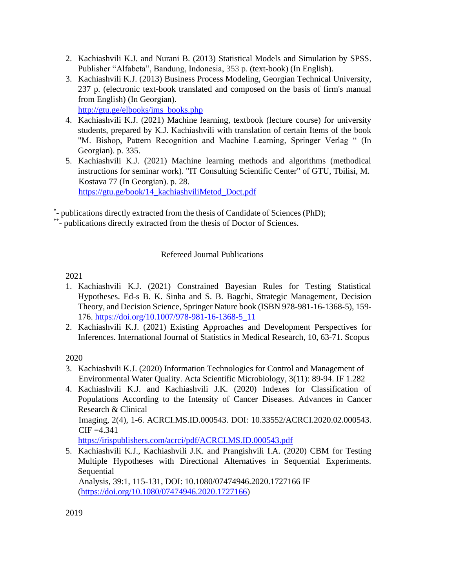- 2. Kachiashvili K.J. and Nurani B. (2013) Statistical Models and Simulation by SPSS. Publisher "Alfabeta", Bandung, Indonesia, 353 p. (text-book) (In English).
- 3. Kachiashvili K.J. (2013) Business Process Modeling, Georgian Technical University, 237 p. (electronic text-book translated and composed on the basis of firm's manual from English) (In Georgian).

http://gtu.ge/elbooks/ims\_books.php

- 4. Kachiashvili K.J. (2021) Machine learning, textbook (lecture course) for university students, prepared by K.J. Kachiashvili with translation of certain Items of the book "M. Bishop, Pattern Recognition and Machine Learning, Springer Verlag " (In Georgian). p. 335.
- 5. Kachiashvili K.J. (2021) Machine learning methods and algorithms (methodical instructions for seminar work). "IT Consulting Scientific Center" of GTU, Tbilisi, M. Kostava 77 (In Georgian). p. 28. https://gtu.ge/book/14\_kachiashviliMetod\_Doct.pdf

\* - publications directly extracted from the thesis of Candidate of Sciences (PhD);

\*\*- publications directly extracted from the thesis of Doctor of Sciences.

# Refereed Journal Publications

# 2021

- 1. Kachiashvili K.J. (2021) Constrained Bayesian Rules for Testing Statistical Hypotheses. Ed-s B. K. Sinha and S. B. Bagchi, Strategic Management, Decision Theory, and Decision Science, Springer Nature book (ISBN 978-981-16-1368-5), 159- 176. https://doi.org/10.1007/978-981-16-1368-5\_11
- 2. Kachiashvili K.J. (2021) Existing Approaches and Development Perspectives for Inferences. International Journal of Statistics in Medical Research, 10, 63-71. Scopus

2020

- 3. Kachiashvili K.J. (2020) Information Technologies for Control and Management of Environmental Water Quality. Acta Scientific Microbiology, 3(11): 89-94. IF 1.282
- 4. Kachiashvili K.J. and Kachiashvili J.K. (2020) Indexes for Classification of Populations According to the Intensity of Cancer Diseases. Advances in Cancer Research & Clinical Imaging, 2(4), 1-6. ACRCI.MS.ID.000543. DOI: 10.33552/ACRCI.2020.02.000543.  $CIF = 4.341$

https://irispublishers.com/acrci/pdf/ACRCI.MS.ID.000543.pdf

5. Kachiashvili K.J., Kachiashvili J.K. and Prangishvili I.A. (2020) CBM for Testing Multiple Hypotheses with Directional Alternatives in Sequential Experiments. Sequential

Analysis, 39:1, 115-131, DOI: 10.1080/07474946.2020.1727166 IF (https://doi.org/10.1080/07474946.2020.1727166)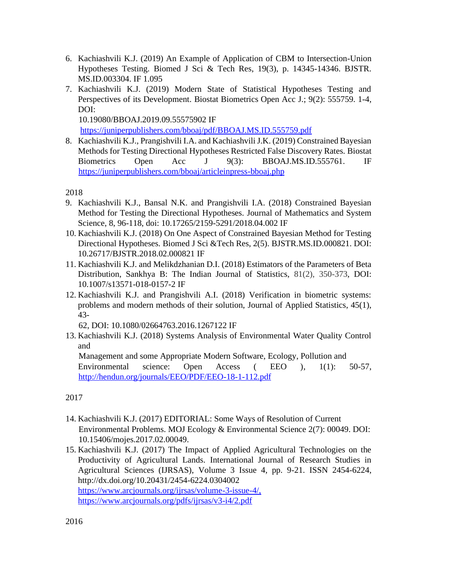- 6. Kachiashvili K.J. (2019) An Example of Application of CBM to Intersection-Union Hypotheses Testing. Biomed J Sci & Tech Res, 19(3), p. 14345-14346. BJSTR. MS.ID.003304. IF 1.095
- 7. Kachiashvili K.J. (2019) Modern State of Statistical Hypotheses Testing and Perspectives of its Development. Biostat Biometrics Open Acc J.; 9(2): 555759. 1-4, DOI:

10.19080/BBOAJ.2019.09.55575902 IF

https://juniperpublishers.com/bboaj/pdf/BBOAJ.MS.ID.555759.pdf

8. Kachiashvili K.J., Prangishvili I.A. and Kachiashvili J.K. (2019) Constrained Bayesian Methods for Testing Directional Hypotheses Restricted False Discovery Rates. Biostat Biometrics Open Acc J 9(3): BBOAJ.MS.ID.555761. IF https://juniperpublishers.com/bboaj/articleinpress-bboaj.php

2018

- 9. Kachiashvili K.J., Bansal N.K. and Prangishvili I.A. (2018) Constrained Bayesian Method for Testing the Directional Hypotheses. Journal of Mathematics and System Science, 8, 96-118, doi: 10.17265/2159-5291/2018.04.002 IF
- 10. Kachiashvili K.J. (2018) On One Aspect of Constrained Bayesian Method for Testing Directional Hypotheses. Biomed J Sci &Tech Res, 2(5). BJSTR.MS.ID.000821. DOI: 10.26717/BJSTR.2018.02.000821 IF
- 11. Kachiashvili K.J. and Melikdzhanian D.I. (2018) Estimators of the Parameters of Beta Distribution, Sankhya B: The Indian Journal of Statistics, 81(2), 350-373, DOI: 10.1007/s13571-018-0157-2 IF
- 12. Kachiashvili K.J. and Prangishvili A.I. (2018) Verification in biometric systems: problems and modern methods of their solution, Journal of Applied Statistics, 45(1), 43-

62, DOI: 10.1080/02664763.2016.1267122 IF

13. Kachiashvili K.J. (2018) Systems Analysis of Environmental Water Quality Control and

Management and some Appropriate Modern Software, Ecology, Pollution and Environmental science: Open Access ( EEO ), 1(1): 50-57, http://hendun.org/journals/EEO/PDF/EEO-18-1-112.pdf

- 14. Kachiashvili K.J. (2017) EDITORIAL: Some Ways of Resolution of Current Environmental Problems. MOJ Ecology & Environmental Science 2(7): 00049. DOI: 10.15406/mojes.2017.02.00049.
- 15. Kachiashvili K.J. (2017) The Impact of Applied Agricultural Technologies on the Productivity of Agricultural Lands. International Journal of Research Studies in Agricultural Sciences (IJRSAS), Volume 3 Issue 4, pp. 9-21. ISSN 2454-6224, http://dx.doi.org/10.20431/2454-6224.0304002 https://www.arcjournals.org/ijrsas/volume-3-issue-4/, https://www.arcjournals.org/pdfs/ijrsas/v3-i4/2.pdf

<sup>2017</sup>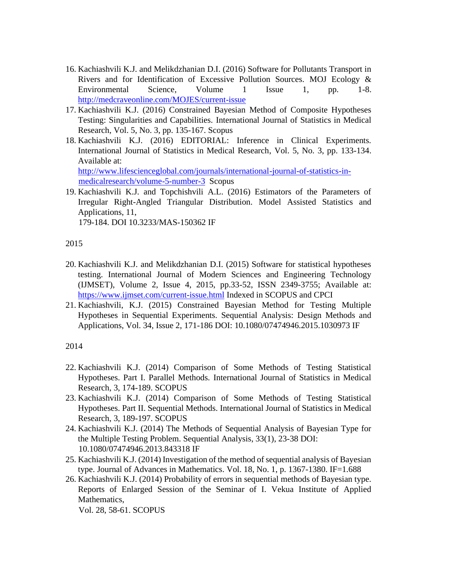- 16. Kachiashvili K.J. and Melikdzhanian D.I. (2016) Software for Pollutants Transport in Rivers and for Identification of Excessive Pollution Sources. MOJ Ecology & Environmental Science, Volume 1 Issue 1, pp. 1-8. http://medcraveonline.com/MOJES/current-issue
- 17. Kachiashvili K.J. (2016) Constrained Bayesian Method of Composite Hypotheses Testing: Singularities and Capabilities. International Journal of Statistics in Medical Research, Vol. 5, No. 3, pp. 135-167. Scopus
- 18. Kachiashvili K.J. (2016) EDITORIAL: Inference in Clinical Experiments. International Journal of Statistics in Medical Research, Vol. 5, No. 3, pp. 133-134. Available at: http://www.lifescienceglobal.com/journals/international-journal-of-statistics-in-

medicalresearch/volume-5-number-3 Scopus

19. Kachiashvili K.J. and Topchishvili A.L. (2016) Estimators of the Parameters of Irregular Right-Angled Triangular Distribution. Model Assisted Statistics and Applications, 11,

179-184. DOI 10.3233/MAS-150362 IF

2015

- 20. Kachiashvili K.J. and Melikdzhanian D.I. (2015) Software for statistical hypotheses testing. International Journal of Modern Sciences and Engineering Technology (IJMSET), Volume 2, Issue 4, 2015, pp.33-52, ISSN 2349-3755; Available at: https://www.ijmset.com/current-issue.html Indexed in SCOPUS and CPCI
- 21. Kachiashvili, K.J. (2015) Constrained Bayesian Method for Testing Multiple Hypotheses in Sequential Experiments. Sequential Analysis: Design Methods and Applications, Vol. 34, Issue 2, 171-186 DOI: 10.1080/07474946.2015.1030973 IF

2014

- 22. Kachiashvili K.J. (2014) Comparison of Some Methods of Testing Statistical Hypotheses. Part I. Parallel Methods. International Journal of Statistics in Medical Research, 3, 174-189. SCOPUS
- 23. Kachiashvili K.J. (2014) Comparison of Some Methods of Testing Statistical Hypotheses. Part II. Sequential Methods. International Journal of Statistics in Medical Research, 3, 189-197. SCOPUS
- 24. Kachiashvili K.J. (2014) The Methods of Sequential Analysis of Bayesian Type for the Multiple Testing Problem. Sequential Analysis, 33(1), 23-38 DOI: 10.1080/07474946.2013.843318 IF
- 25. Kachiashvili K.J. (2014) Investigation of the method of sequential analysis of Bayesian type. Journal of Advances in Mathematics. Vol. 18, No. 1, p. 1367-1380. IF=1.688
- 26. Kachiashvili K.J. (2014) Probability of errors in sequential methods of Bayesian type. Reports of Enlarged Session of the Seminar of I. Vekua Institute of Applied Mathematics,

Vol. 28, 58-61. SCOPUS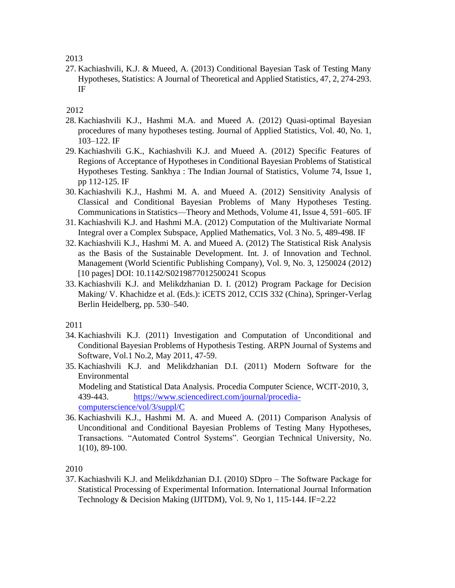2013

27. Kachiashvili, K.J. & Mueed, A. (2013) Conditional Bayesian Task of Testing Many Hypotheses, Statistics: A Journal of Theoretical and Applied Statistics, 47, 2, 274-293. IF

2012

- 28. Kachiashvili K.J., Hashmi M.A. and Mueed A. (2012) Quasi-optimal Bayesian procedures of many hypotheses testing. Journal of Applied Statistics, Vol. 40, No. 1, 103–122. IF
- 29. Kachiashvili G.K., Kachiashvili K.J. and Mueed A. (2012) Specific Features of Regions of Acceptance of Hypotheses in Conditional Bayesian Problems of Statistical Hypotheses Testing. Sankhya : The Indian Journal of Statistics, Volume 74, Issue 1, pp 112-125. IF
- 30. Kachiashvili K.J., Hashmi M. A. and Mueed A. (2012) Sensitivity Analysis of Classical and Conditional Bayesian Problems of Many Hypotheses Testing. Communications in Statistics—Theory and Methods, Volume 41, Issue 4, 591–605. IF
- 31. Kachiashvili K.J. and Hashmi M.A. (2012) Computation of the Multivariate Normal Integral over a Complex Subspace, Applied Mathematics, Vol. 3 No. 5, 489-498. IF
- 32. Kachiashvili K.J., Hashmi M. A. and Mueed A. (2012) The Statistical Risk Analysis as the Basis of the Sustainable Development. Int. J. of Innovation and Technol. Management (World Scientific Publishing Company), Vol. 9, No. 3, 1250024 (2012) [10 pages] DOI: 10.1142/S0219877012500241 Scopus
- 33. Kachiashvili K.J. and Melikdzhanian D. I. (2012) Program Package for Decision Making/ V. Khachidze et al. (Eds.): iCETS 2012, CCIS 332 (China), Springer-Verlag Berlin Heidelberg, pp. 530–540.

2011

- 34. Kachiashvili K.J. (2011) Investigation and Computation of Unconditional and Conditional Bayesian Problems of Hypothesis Testing. ARPN Journal of Systems and Software, Vol.1 No.2, May 2011, 47-59.
- 35. Kachiashvili K.J. and Melikdzhanian D.I. (2011) Modern Software for the Environmental Modeling and Statistical Data Analysis. Procedia Computer Science, WCIT-2010, 3, 439-443. https://www.sciencedirect.com/journal/procediacomputerscience/vol/3/suppl/C
- 36. Kachiashvili K.J., Hashmi M. A. and Mueed A. (2011) Comparison Analysis of Unconditional and Conditional Bayesian Problems of Testing Many Hypotheses, Transactions. "Automated Control Systems". Georgian Technical University, No. 1(10), 89-100.

2010

37. Kachiashvili K.J. and Melikdzhanian D.I. (2010) SDpro – The Software Package for Statistical Processing of Experimental Information. International Journal Information Technology & Decision Making (IJITDM), Vol. 9, No 1, 115-144. IF=2.22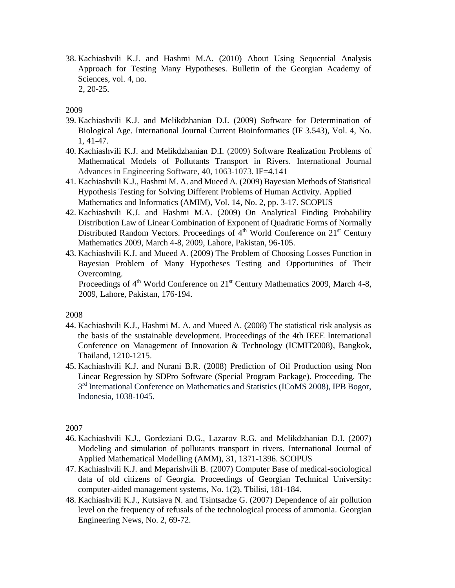38. Kachiashvili K.J. and Hashmi M.A. (2010) About Using Sequential Analysis Approach for Testing Many Hypotheses. Bulletin of the Georgian Academy of Sciences, vol. 4, no. 2, 20-25.

#### 2009

- 39. Kachiashvili K.J. and Melikdzhanian D.I. (2009) Software for Determination of Biological Age. International Journal Current Bioinformatics (IF 3.543), Vol. 4, No. 1, 41-47.
- 40. Kachiashvili K.J. and Melikdzhanian D.I. (2009) Software Realization Problems of Mathematical Models of Pollutants Transport in Rivers. International Journal Advances in Engineering Software, 40, 1063-1073. IF=4.141
- 41. Kachiashvili K.J., Hashmi M. A. and Mueed A. (2009) Bayesian Methods of Statistical Hypothesis Testing for Solving Different Problems of Human Activity. Applied Mathematics and Informatics (AMIM), Vol. 14, No. 2, pp. 3-17. SCOPUS
- 42. Kachiashvili K.J. and Hashmi M.A. (2009) On Analytical Finding Probability Distribution Law of Linear Combination of Exponent of Quadratic Forms of Normally Distributed Random Vectors. Proceedings of  $4<sup>th</sup>$  World Conference on  $21<sup>st</sup>$  Century Mathematics 2009, March 4-8, 2009, Lahore, Pakistan, 96-105.
- 43. Kachiashvili K.J. and Mueed A. (2009) The Problem of Choosing Losses Function in Bayesian Problem of Many Hypotheses Testing and Opportunities of Their Overcoming.

Proceedings of  $4<sup>th</sup>$  World Conference on  $21<sup>st</sup>$  Century Mathematics 2009, March 4-8, 2009, Lahore, Pakistan, 176-194.

2008

- 44. Kachiashvili K.J., Hashmi M. A. and Mueed A. (2008) The statistical risk analysis as the basis of the sustainable development. Proceedings of the 4th IEEE International Conference on Management of Innovation & Technology (ICMIT2008), Bangkok, Thailand, 1210-1215.
- 45. Kachiashvili K.J. and Nurani B.R. (2008) Prediction of Oil Production using Non Linear Regression by SDPro Software (Special Program Package). Proceeding. The 3<sup>rd</sup> International Conference on Mathematics and Statistics (ICoMS 2008), IPB Bogor, Indonesia, 1038-1045.

- 46. Kachiashvili K.J., Gordeziani D.G., Lazarov R.G. and Melikdzhanian D.I. (2007) Modeling and simulation of pollutants transport in rivers. International Journal of Applied Mathematical Modelling (AMM), 31, 1371-1396. SCOPUS
- 47. Kachiashvili K.J. and Meparishvili B. (2007) Computer Base of medical-sociological data of old citizens of Georgia. Proceedings of Georgian Technical University: computer-aided management systems, No. 1(2), Tbilisi, 181-184.
- 48. Kachiashvili K.J., Kutsiava N. and Tsintsadze G. (2007) Dependence of air pollution level on the frequency of refusals of the technological process of ammonia. Georgian Engineering News, No. 2, 69-72.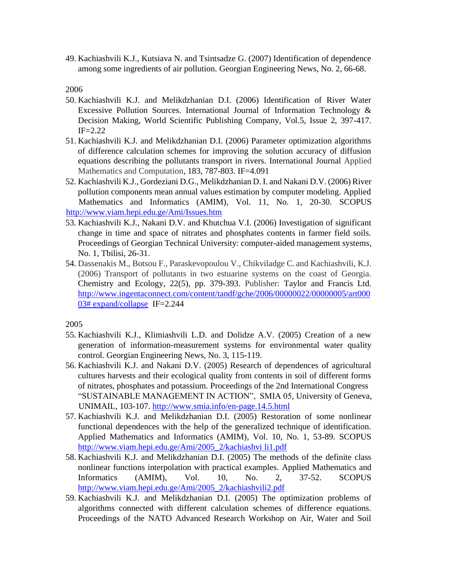49. Kachiashvili K.J., Kutsiava N. and Tsintsadze G. (2007) Identification of dependence among some ingredients of air pollution. Georgian Engineering News, No. 2, 66-68.

2006

- 50. Kachiashvili K.J. and Melikdzhanian D.I. (2006) Identification of River Water Excessive Pollution Sources. International Journal of Information Technology & Decision Making, World Scientific Publishing Company, Vol.5, Issue 2, 397-417. IF=2.22
- 51. Kachiashvili K.J. and Melikdzhanian D.I. (2006) Parameter optimization algorithms of difference calculation schemes for improving the solution accuracy of diffusion equations describing the pollutants transport in rivers. International Journal Applied Mathematics and Computation, 183, 787-803. IF=4.091
- 52. Kachiashvili K.J., Gordeziani D.G., Melikdzhanian D. I. and Nakani D.V. (2006) River pollution components mean annual values estimation by computer modeling. Applied Mathematics and Informatics (AMIM), Vol. 11, No. 1, 20-30. SCOPUS http://www.viam.hepi.edu.ge/Ami/Issues.htm
- 53. Kachiashvili K.J., Nakani D.V. and Khutchua V.I. (2006) Investigation of significant change in time and space of nitrates and phosphates contents in farmer field soils. Proceedings of Georgian Technical University: computer-aided management systems, No. 1, Tbilisi, 26-31.
- 54. Dassenakis M., Botsou F., Paraskevopoulou V., Chikviladge C. and Kachiashvili, K.J. (2006) Transport of pollutants in two estuarine systems on the coast of Georgia. Chemistry and Ecology, 22(5), pp. 379-393. Publisher: Taylor and Francis Ltd. http://www.ingentaconnect.com/content/tandf/gche/2006/00000022/00000005/art000 03# expand/collapse IF=2.244

- 55. Kachiashvili K.J., Klimiashvili L.D. and Dolidze A.V. (2005) Creation of a new generation of information-measurement systems for environmental water quality control. Georgian Engineering News, No. 3, 115-119.
- 56. Kachiashvili K.J. and Nakani D.V. (2005) Research of dependences of agricultural cultures harvests and their ecological quality from contents in soil of different forms of nitrates, phosphates and potassium. Proceedings of the 2nd International Congress "SUSTAINABLE MANAGEMENT IN ACTION", SMIA 05, University of Geneva, UNIMAIL, 103-107. http://www.smia.info/en-page.14.5.html
- 57. Kachiashvili K.J. and Melikdzhanian D.I. (2005) Restoration of some nonlinear functional dependences with the help of the generalized technique of identification. Applied Mathematics and Informatics (AMIM), Vol. 10, No. 1, 53-89. SCOPUS http://www.viam.hepi.edu.ge/Ami/2005\_2/kachiashvi li1.pdf
- 58. Kachiashvili K.J. and Melikdzhanian D.I. (2005) The methods of the definite class nonlinear functions interpolation with practical examples. Applied Mathematics and Informatics (AMIM), Vol. 10, No. 2, 37-52. SCOPUS http://www.viam.hepi.edu.ge/Ami/2005\_2/kachiashvili2.pdf
- 59. Kachiashvili K.J. and Melikdzhanian D.I. (2005) The optimization problems of algorithms connected with different calculation schemes of difference equations. Proceedings of the NATO Advanced Research Workshop on Air, Water and Soil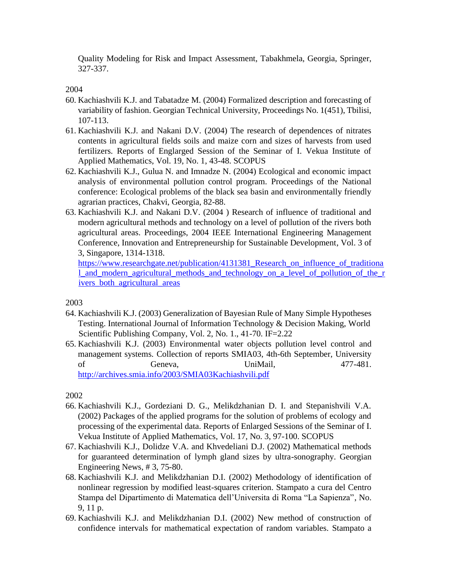Quality Modeling for Risk and Impact Assessment, Tabakhmela, Georgia, Springer, 327-337.

## 2004

- 60. Kachiashvili K.J. and Tabatadze M. (2004) Formalized description and forecasting of variability of fashion. Georgian Technical University, Proceedings No. 1(451), Tbilisi, 107-113.
- 61. Kachiashvili K.J. and Nakani D.V. (2004) The research of dependences of nitrates contents in agricultural fields soils and maize corn and sizes of harvests from used fertilizers. Reports of Englarged Session of the Seminar of I. Vekua Institute of Applied Mathematics, Vol. 19, No. 1, 43-48. SCOPUS
- 62. Kachiashvili K.J., Gulua N. and Imnadze N. (2004) Ecological and economic impact analysis of environmental pollution control program. Proceedings of the National conference: Ecological problems of the black sea basin and environmentally friendly agrarian practices, Chakvi, Georgia, 82-88.
- 63. Kachiashvili K.J. and Nakani D.V. (2004 ) Research of influence of traditional and modern agricultural methods and technology on a level of pollution of the rivers both agricultural areas. Proceedings, 2004 IEEE International Engineering Management Conference, Innovation and Entrepreneurship for Sustainable Development, Vol. 3 of 3, Singapore, 1314-1318.

```
https://www.researchgate.net/publication/4131381_Research_on_influence_of_traditiona
l_and_modern_agricultural_methods_and_technology_on_a_level_of_pollution_of_the_r 
ivers_both_agricultural_areas
```
### 2003

- 64. Kachiashvili K.J. (2003) Generalization of Bayesian Rule of Many Simple Hypotheses Testing. International Journal of Information Technology & Decision Making, World Scientific Publishing Company, Vol. 2, No. 1., 41-70. IF=2.22
- 65. Kachiashvili K.J. (2003) Environmental water objects pollution level control and management systems. Collection of reports SMIA03, 4th-6th September, University of Geneva, UniMail, 477-481. http://archives.smia.info/2003/SMIA03Kachiashvili.pdf

- 66. Kachiashvili K.J., Gordeziani D. G., Melikdzhanian D. I. and Stepanishvili V.A. (2002) Packages of the applied programs for the solution of problems of ecology and processing of the experimental data. Reports of Enlarged Sessions of the Seminar of I. Vekua Institute of Applied Mathematics, Vol. 17, No. 3, 97-100. SCOPUS
- 67. Kachiashvili K.J., Dolidze V.A. and Khvedeliani D.J. (2002) Mathematical methods for guaranteed determination of lymph gland sizes by ultra-sonography. Georgian Engineering News, # 3, 75-80.
- 68. Kachiashvili K.J. and Melikdzhanian D.I. (2002) Methodology of identification of nonlinear regression by modified least-squares criterion. Stampato a cura del Centro Stampa del Dipartimento di Matematica dell'Universita di Roma "La Sapienza", No. 9, 11 p.
- 69. Kachiashvili K.J. and Melikdzhanian D.I. (2002) New method of construction of confidence intervals for mathematical expectation of random variables. Stampato a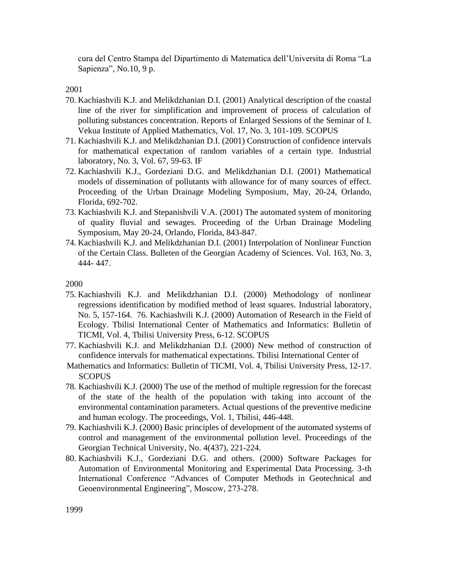cura del Centro Stampa del Dipartimento di Matematica dell'Universita di Roma "La Sapienza", No.10, 9 p.

2001

- 70. Kachiashvili K.J. and Melikdzhanian D.I. (2001) Analytical description of the coastal line of the river for simplification and improvement of process of calculation of polluting substances concentration. Reports of Enlarged Sessions of the Seminar of I. Vekua Institute of Applied Mathematics, Vol. 17, No. 3, 101-109. SCOPUS
- 71. Kachiashvili K.J. and Melikdzhanian D.I. (2001) Construction of confidence intervals for mathematical expectation of random variables of a certain type. Industrial laboratory, No. 3, Vol. 67, 59-63. IF
- 72. Kachiashvili K.J., Gordeziani D.G. and Melikdzhanian D.I. (2001) Mathematical models of dissemination of pollutants with allowance for of many sources of effect. Proceeding of the Urban Drainage Modeling Symposium, May, 20-24, Orlando, Florida, 692-702.
- 73. Kachiashvili K.J. and Stepanishvili V.A. (2001) The automated system of monitoring of quality fluvial and sewages. Proceeding of the Urban Drainage Modeling Symposium, May 20-24, Orlando, Florida, 843-847.
- 74. Kachiashvili K.J. and Melikdzhanian D.I. (2001) Interpolation of Nonlinear Function of the Certain Class. Bulleten of the Georgian Academy of Sciences. Vol. 163, No. 3, 444- 447.

- 75. Kachiashvili K.J. and Melikdzhanian D.I. (2000) Methodology of nonlinear regressions identification by modified method of least squares. Industrial laboratory, No. 5, 157-164. 76. Kachiashvili K.J. (2000) Automation of Research in the Field of Ecology. Tbilisi International Center of Mathematics and Informatics: Bulletin of TICMI, Vol. 4, Tbilisi University Press, 6-12. SCOPUS
- 77. Kachiashvili K.J. and Melikdzhanian D.I. (2000) New method of construction of confidence intervals for mathematical expectations. Tbilisi International Center of
- Mathematics and Informatics: Bulletin of TICMI, Vol. 4, Tbilisi University Press, 12-17. **SCOPUS**
- 78. Kachiashvili K.J. (2000) The use of the method of multiple regression for the forecast of the state of the health of the population with taking into account of the environmental contamination parameters. Actual questions of the preventive medicine and human ecology. The proceedings, Vol. 1, Tbilisi, 446-448.
- 79. Kachiashvili K.J. (2000) Basic principles of development of the automated systems of control and management of the environmental pollution level. Proceedings of the Georgian Technical University, No. 4(437), 221-224.
- 80. Kachiashvili K.J., Gordeziani D.G. and others. (2000) Software Packages for Automation of Environmental Monitoring and Experimental Data Processing. 3-th International Conference "Advances of Computer Methods in Geotechnical and Geoenvironmental Engineering", Moscow, 273-278.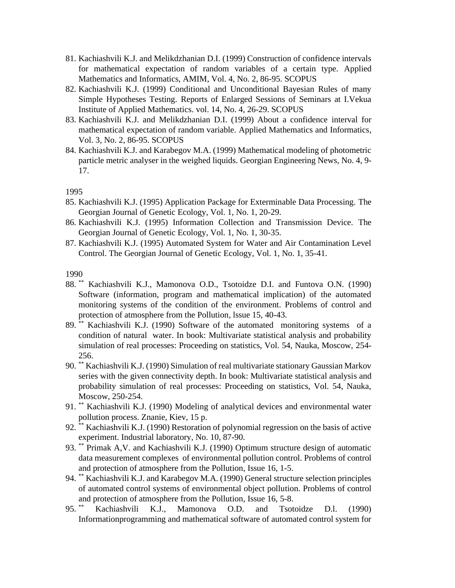- 81. Kachiashvili K.J. and Melikdzhanian D.I. (1999) Construction of confidence intervals for mathematical expectation of random variables of a certain type. Applied Mathematics and Informatics, AMIM, Vol. 4, No. 2, 86-95. SCOPUS
- 82. Kachiashvili K.J. (1999) Conditional and Unconditional Bayesian Rules of many Simple Hypotheses Testing. Reports of Enlarged Sessions of Seminars at I.Vekua Institute of Applied Mathematics. vol. 14, No. 4, 26-29. SCOPUS
- 83. Kachiashvili K.J. and Melikdzhanian D.I. (1999) About a confidence interval for mathematical expectation of random variable. Applied Mathematics and Informatics, Vol. 3, No. 2, 86-95. SCOPUS
- 84. Kachiashvili K.J. and Karabegov M.A. (1999) Mathematical modeling of photometric particle metric analyser in the weighed liquids. Georgian Engineering News, No. 4, 9- 17.

1995

- 85. Kachiashvili K.J. (1995) Application Package for Exterminable Data Processing. The Georgian Journal of Genetic Ecology, Vol. 1, No. 1, 20-29.
- 86. Kachiashvili K.J. (1995) Information Collection and Transmission Device. The Georgian Journal of Genetic Ecology, Vol. 1, No. 1, 30-35.
- 87. Kachiashvili K.J. (1995) Automated System for Water and Air Contamination Level Control. The Georgian Journal of Genetic Ecology, Vol. 1, No. 1, 35-41.

- 88. \*\* Kachiashvili K.J., Mamonova O.D., Tsotoidze D.I. and Funtova O.N. (1990) Software (information, program and mathematical implication) of the automated monitoring systems of the condition of the environment. Problems of control and protection of atmosphere from the Pollution, lssue 15, 40-43.
- 89. \*\* Kachiashvili K.J. (1990) Software of the automated monitoring systems of a condition of natural water. In book: Multivariate statistical analysis and probability simulation of real processes: Proceeding on statistics, Vol. 54, Nauka, Moscow, 254- 256.
- 90. \*\* Kachiashvili K.J. (1990) Simulation of real multivariate stationary Gaussian Markov series with the given connectivity depth. In book: Multivariate statistical analysis and probability simulation of real processes: Proceeding on statistics, Vol. 54, Nauka, Moscow, 250-254.
- 91. \*\* Kachiashvili K.J. (1990) Modeling of analytical devices and environmental water pollution process. Znanie, Kiev, 15 p.
- 92. \*\* Kachiashvili K.J. (1990) Restoration of polynomial regression on the basis of active experiment. Industrial laboratory, No. 10, 87-90.
- 93. \*\* Primak A,V. and Kachiashvili K.J. (1990) Optimum structure design of automatic data measurement complexes of environmental pollution control. Problems of control and protection of atmosphere from the Pollution, Issue 16, 1-5.
- 94. \*\* Kachiashvili K.J. and Karabegov M.A. (1990) General structure selection principles of automated control systems of environmental object pollution. Problems of control and protection of atmosphere from the Pollution, Issue 16, 5-8.
- 95. \*\* Kachiashvili K.J., Mamonova O.D. and Tsotoidze D.l. (1990) Informationprogramming and mathematical software of automated control system for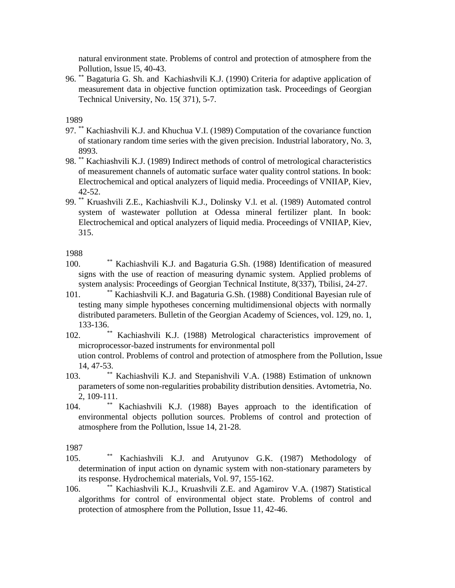natural environment state. Problems of control and protection of atmosphere from the Pollution, lssue l5, 40-43.

96. \*\* Bagaturia G. Sh. and Kachiashvili K.J. (1990) Criteria for adaptive application of measurement data in objective function optimization task. Proceedings of Georgian Technical University, No. 15( 371), 5-7.

1989

- 97. \*\* Kachiashvili K.J. and Khuchua V.I. (1989) Computation of the covariance function of stationary random time series with the given precision. Industrial laboratory, No. 3, 8993.
- 98. \*\* Kachiashvili K.J. (1989) Indirect methods of control of metrological characteristics of measurement channels of automatic surface water quality control stations. In book: Electrochemical and optical analyzers of liquid media. Proceedings of VNIIAP, Kiev, 42-52.
- 99. \*\* Kruashvili Z.E., Kachiashvili K.J., Dolinsky V.l. et al. (1989) Automated control system of wastewater pollution at Odessa mineral fertilizer plant. In book: Electrochemical and optical analyzers of liquid media. Proceedings of VNIIAP, Kiev, 315.

1988

- 100. \*\* Kachiashvili K.J. and Bagaturia G.Sh. (1988) Identification of measured signs with the use of reaction of measuring dynamic system. Applied problems of system analysis: Proceedings of Georgian Technical Institute, 8(337), Tbilisi, 24-27.
- 101. \*\* Kachiashvili K.J. and Bagaturia G.Sh. (1988) Conditional Bayesian rule of testing many simple hypotheses concerning multidimensional objects with normally distributed parameters. Bulletin of the Georgian Academy of Sciences, vol. 129, no. 1, 133-136.
- 102. \*\* Kachiashvili K.J. (1988) Metrological characteristics improvement of microprocessor-bazed instruments for environmental poll

ution control. Problems of control and protection of atmosphere from the Pollution, lssue 14, 47-53.

- 103. \*\* Kachiashvili K.J. and Stepanishvili V.A. (1988) Estimation of unknown parameters of some non-regularities probability distribution densities. Avtometria, No. 2, 109-111.
- 104. \*\* Kachiashvili K.J. (1988) Bayes approach to the identification of environmental objects pollution sources. Problems of control and protection of atmosphere from the Pollution, lssue 14, 21-28.

- 105. \*\* Kachiashvili K.J. and Arutyunov G.K. (1987) Methodology of determination of input action on dynamic system with non-stationary parameters by its response. Hydrochemical materials, Vol. 97, 155-162.
- 106. \*\* Kachiashvili K.J., Kruashvili Z.E. and Agamirov V.A. (1987) Statistical algorithms for control of environmental object state. Problems of control and protection of atmosphere from the Pollution, Issue 11, 42-46.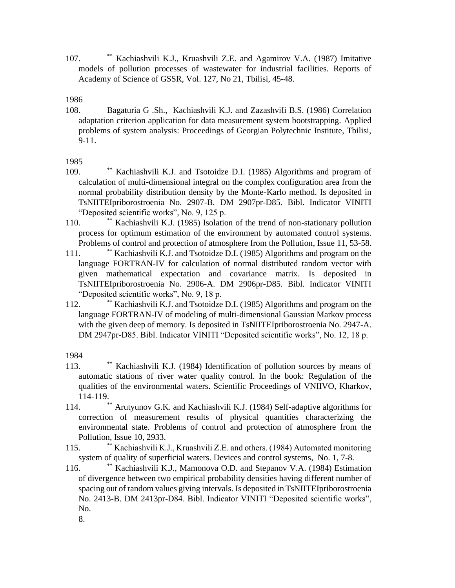107. \*\* Kachiashvili K.J., Kruashvili Z.E. and Agamirov V.A. (1987) Imitative models of pollution processes of wastewater for industrial facilities. Reports of Academy of Science of GSSR, Vol. 127, No 21, Tbilisi, 45-48.

1986

108. Bagaturia G .Sh., Kachiashvili K.J. and ZazashviIi B.S. (1986) Correlation adaptation criterion application for data measurement system bootstrapping. Applied problems of system analysis: Proceedings of Georgian Polytechnic Institute, Tbilisi, 9-11.

1985

- 109. \*\* Kachiashvili K.J. and Tsotoidze D.I. (1985) Algorithms and program of calculation of multi-dimensional integral on the complex configuration area from the normal probability distribution density by the Monte-Karlo method. Is deposited in TsNIITEIpriborostroenia No. 2907-B. DM 2907pr-D85. Bibl. Indicator VINITI "Deposited scientific works", No. 9, 125 p.
- 110. \*\* Kachiashvili K.J. (1985) Isolation of the trend of non-stationary pollution process for optimum estimation of the environment by automated control systems. Problems of control and protection of atmosphere from the Pollution, Issue 11, 53-58.
- 111. \*\* Kachiashvili K.J. and Tsotoidze D.I. (1985) Algorithms and program on the language FORTRAN-IV for calculation of normal distributed random vector with given mathematical expectation and covariance matrix. Is deposited in TsNIITEIpriborostroenia No. 2906-A. DM 2906pr-D85. Bibl. Indicator VINITI "Deposited scientific works", No. 9, 18 p.
- 112. \*\* Kachiashvili K.J. and Tsotoidze D.I. (1985) Algorithms and program on the language FORTRAN-IV of modeling of multi-dimensional Gaussian Markov process with the given deep of memory. Is deposited in TsNIITEIpriborostroenia No. 2947-A. DM 2947pr-D85. Bibl. Indicator VINITI "Deposited scientific works", No. 12, 18 p.

1984

- 113. \*\* Kachiashvili K.J. (1984) Identification of pollution sources by means of automatic stations of river water quality control. In the book: Regulation of the qualities of the environmental waters. Scientific Proceedings of VNIIVO, Kharkov, 114-119.
- 114. \*\* Arutyunov G.K. and Kachiashvili K.J. (1984) Self-adaptive algorithms for correction of measurement results of physical quantities characterizing the environmental state. Problems of control and protection of atmosphere from the Pollution, Issue 10, 2933.
- 115. \*\*\* Kachiashvili K.J., Kruashvili Z.E. and others. (1984) Automated monitoring system of quality of superficial waters. Devices and control systems, No. 1, 7-8.
- 116. \*\*\* Kachiashvili K.J., Mamonova O.D. and Stepanov V.A. (1984) Estimation of divergence between two empirical probability densities having different number of spacing out of random values giving intervals. Is deposited in TsNIITEIpriborostroenia No. 2413-B. DM 2413pr-D84. Bibl. Indicator VINITI "Deposited scientific works", No.

8.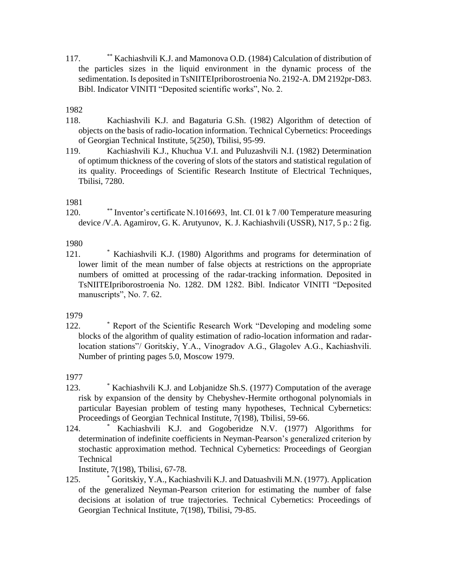117. \*\* Kachiashvili K.J. and Mamonova O.D. (1984) Calculation of distribution of the particles sizes in the liquid environment in the dynamic process of the sedimentation. Is deposited in TsNIITEIpriborostroenia No. 2192-A. DM 2192pr-D83. Bibl. Indicator VINITI "Deposited scientific works", No. 2.

1982

- 118. Kachiashvili K.J. and Bagaturia G.Sh. (1982) Algorithm of detection of objects on the basis of radio-location information. Technical Cybernetics: Proceedings of Georgian Technical Institute, 5(250), Tbilisi, 95-99.
- 119. Kachiashvili K.J., Khuchua V.I. and Puluzashvili N.I. (1982) Determination of optimum thickness of the covering of slots of the stators and statistical regulation of its quality. Proceedings of Scientific Research Institute of Electrical Techniques, Tbilisi, 7280.

### 1981

120. \*\* Inventor's certificate N.1016693, lnt. CI. 01 k 7 /00 Temperature measuring device /V.A. Agamirov, G. K. Arutyunov, K. J. Kachiashvili (USSR), N17, 5 p.: 2 fig.

1980

121. \* Kachiashvili K.J. (1980) Algorithms and programs for determination of lower limit of the mean number of false objects at restrictions on the appropriate numbers of omitted at processing of the radar-tracking information. Deposited in TsNIITEIpriborostroenia No. 1282. DM 1282. Bibl. Indicator VINITI "Deposited manuscripts", No. 7. 62.

1979

122. \* Report of the Scientific Research Work "Developing and modeling some blocks of the algorithm of quality estimation of radio-location information and radarlocation stations"/ Goritskiy, Y.A., Vinogradov A.G., Glagolev A.G., Kachiashvili. Number of printing pages 5.0, Moscow 1979.

1977

- 123. \* Kachiashvili K.J. and Lobjanidze Sh.S. (1977) Computation of the average risk by expansion of the density by Chebyshev-Hermite orthogonal polynomials in particular Bayesian problem of testing many hypotheses, Technical Cybernetics: Proceedings of Georgian Technical Institute, 7(198), Tbilisi, 59-66.
- 124. \* Kachiashvili K.J. and Gogoberidze N.V. (1977) Algorithms for determination of indefinite coefficients in Neyman-Pearson's generalized criterion by stochastic approximation method. Technical Cybernetics: Proceedings of Georgian **Technical**

Institute, 7(198), Tbilisi, 67-78.

125. \* Goritskiy, Y.A., Kachiashvili K.J. and Datuashvili M.N. (1977). Application of the generalized Neyman-Pearson criterion for estimating the number of false decisions at isolation of true trajectories. Technical Cybernetics: Proceedings of Georgian Technical Institute, 7(198), Tbilisi, 79-85.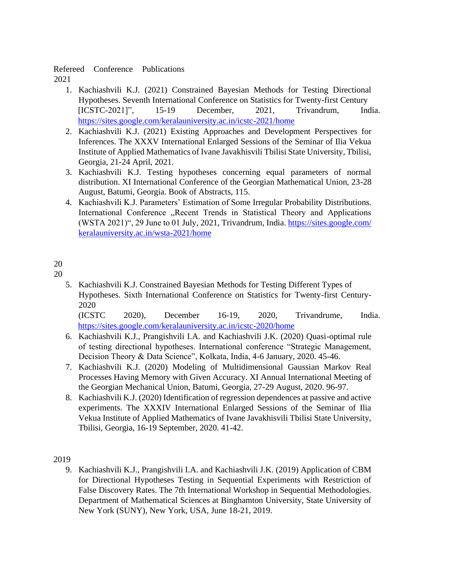### Refereed Conference Publications

2021

- 1. Kachiashvili K.J. (2021) Constrained Bayesian Methods for Testing Directional Hypotheses. Seventh International Conference on Statistics for Twenty-first Century [ICSTC-2021]", 15-19 December, 2021, Trivandrum, India. https://sites.google.com/keralauniversity.ac.in/icstc-2021/home
- 2. Kachiashvili K.J. (2021) Existing Approaches and Development Perspectives for Inferences. The XXXV International Enlarged Sessions of the Seminar of Ilia Vekua Institute of Applied Mathematics of Ivane Javakhisvili Tbilisi State University, Tbilisi, Georgia, 21-24 April, 2021.
- 3. Kachiashvili K.J. Testing hypotheses concerning equal parameters of normal distribution. XI International Conference of the Georgian Mathematical Union, 23-28 August, Batumi, Georgia. Book of Abstracts, 115.
- 4. Kachiashvili K.J. Parameters' Estimation of Some Irregular Probability Distributions. International Conference "Recent Trends in Statistical Theory and Applications (WSTA 2021)", 29 June to 01 July, 2021, Trivandrum, India. https://sites.google.com/ keralauniversity.ac.in/wsta-2021/home

# 20

- 20
- 5. Kachiashvili K.J. Constrained Bayesian Methods for Testing Different Types of Hypotheses. Sixth International Conference on Statistics for Twenty-first Century-2020

(ICSTC 2020), December 16-19, 2020, Trivandrume, India. https://sites.google.com/keralauniversity.ac.in/icstc-2020/home

- 6. Kachiashvili K.J., Prangishvili I.A. and Kachiashvili J.K. (2020) Quasi-optimal rule of testing directional hypotheses. International conference "Strategic Management, Decision Theory & Data Science", Kolkata, India, 4-6 January, 2020. 45-46.
- 7. Kachiashvili K.J. (2020) Modeling of Multidimensional Gaussian Markov Real Processes Having Memory with Given Accuracy. XI Annual International Meeting of the Georgian Mechanical Union, Batumi, Georgia, 27-29 August, 2020. 96-97.
- 8. Kachiashvili K.J. (2020) Identification of regression dependences at passive and active experiments. The XXXIV International Enlarged Sessions of the Seminar of Ilia Vekua Institute of Applied Mathematics of Ivane Javakhisvili Tbilisi State University, Tbilisi, Georgia, 16-19 September, 2020. 41-42.

2019

9. Kachiashvili K.J., Prangishvili I.A. and Kachiashvili J.K. (2019) Application of CBM for Directional Hypotheses Testing in Sequential Experiments with Restriction of False Discovery Rates. The 7th International Workshop in Sequential Methodologies. Department of Mathematical Sciences at Binghamton University, State University of New York (SUNY), New York, USA, June 18-21, 2019.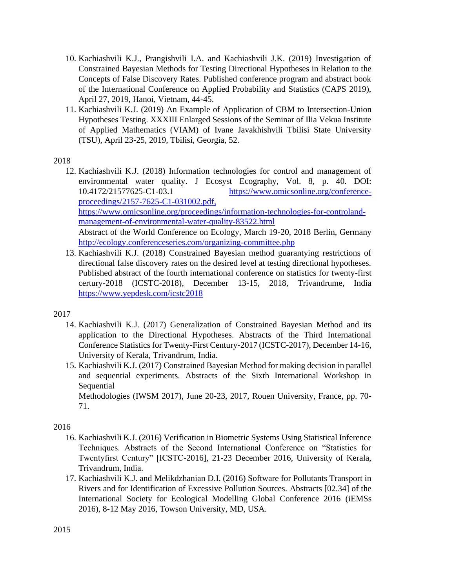- 10. Kachiashvili K.J., Prangishvili I.A. and Kachiashvili J.K. (2019) Investigation of Constrained Bayesian Methods for Testing Directional Hypotheses in Relation to the Concepts of False Discovery Rates. Published conference program and abstract book of the International Conference on Applied Probability and Statistics (CAPS 2019), April 27, 2019, Hanoi, Vietnam, 44-45.
- 11. Kachiashvili K.J. (2019) An Example of Application of CBM to Intersection-Union Hypotheses Testing. XXXIII Enlarged Sessions of the Seminar of Ilia Vekua Institute of Applied Mathematics (VIAM) of Ivane Javakhishvili Tbilisi State University (TSU), April 23-25, 2019, Tbilisi, Georgia, 52.

## 2018

- 12. Kachiashvili K.J. (2018) Information technologies for control and management of environmental water quality. J Ecosyst Ecography, Vol. 8, p. 40. DOI: 10.4172/21577625-C1-03.1 https://www.omicsonline.org/conferenceproceedings/2157-7625-C1-031002.pdf, https://www.omicsonline.org/proceedings/information-technologies-for-controlandmanagement-of-environmental-water-quality-83522.html Abstract of the World Conference on Ecology, March 19-20, 2018 Berlin, Germany http://ecology.conferenceseries.com/organizing-committee.php
- 13. Kachiashvili K.J. (2018) Constrained Bayesian method guarantying restrictions of directional false discovery rates on the desired level at testing directional hypotheses. Published abstract of the fourth international conference on statistics for twenty-first certury-2018 (ICSTC-2018), December 13-15, 2018, Trivandrume, India https://www.yepdesk.com/icstc2018

# 2017

- 14. Kachiashvili K.J. (2017) Generalization of Constrained Bayesian Method and its application to the Directional Hypotheses. Abstracts of the Third International Conference Statistics for Twenty-First Century-2017 (ICSTC-2017), December 14-16, University of Kerala, Trivandrum, India.
- 15. Kachiashvili K.J. (2017) Constrained Bayesian Method for making decision in parallel and sequential experiments. Abstracts of the Sixth International Workshop in **Sequential**

Methodologies (IWSM 2017), June 20-23, 2017, Rouen University, France, pp. 70- 71.

- 16. Kachiashvili K.J. (2016) Verification in Biometric Systems Using Statistical Inference Techniques. Abstracts of the Second International Conference on "Statistics for Twentyfirst Century" [ICSTC-2016], 21-23 December 2016, University of Kerala, Trivandrum, India.
- 17. Kachiashvili K.J. and Melikdzhanian D.I. (2016) Software for Pollutants Transport in Rivers and for Identification of Excessive Pollution Sources. Abstracts [02.34] of the International Society for Ecological Modelling Global Conference 2016 (iEMSs 2016), 8-12 May 2016, Towson University, MD, USA.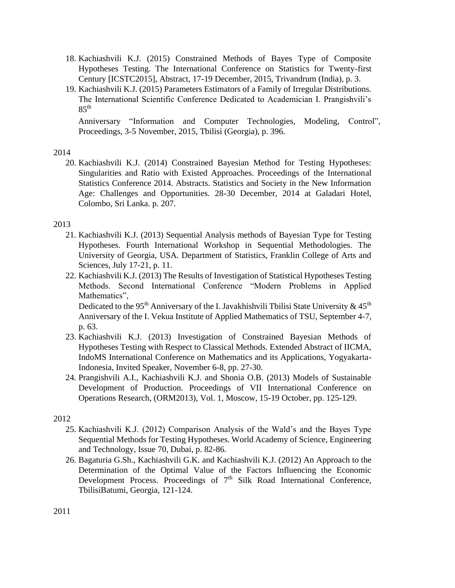- 18. Kachiashvili K.J. (2015) Constrained Methods of Bayes Type of Composite Hypotheses Testing. The International Conference on Statistics for Twenty-first Century [ICSTC2015], Abstract, 17-19 December, 2015, Trivandrum (India), p. 3.
- 19. Kachiashvili K.J. (2015) Parameters Estimators of a Family of Irregular Distributions. The International Scientific Conference Dedicated to Academician I. Prangishvili's  $85^{\text{th}}$

Anniversary "Information and Computer Technologies, Modeling, Control", Proceedings, 3-5 November, 2015, Tbilisi (Georgia), p. 396.

### 2014

20. Kachiashvili K.J. (2014) Constrained Bayesian Method for Testing Hypotheses: Singularities and Ratio with Existed Approaches. Proceedings of the International Statistics Conference 2014. Abstracts. Statistics and Society in the New Information Age: Challenges and Opportunities. 28-30 December, 2014 at Galadari Hotel, Colombo, Sri Lanka. p. 207.

# 2013

- 21. Kachiashvili K.J. (2013) Sequential Analysis methods of Bayesian Type for Testing Hypotheses. Fourth International Workshop in Sequential Methodologies. The University of Georgia, USA. Department of Statistics, Franklin College of Arts and Sciences, July 17-21, p. 11.
- 22. Kachiashvili K.J. (2013) The Results of Investigation of Statistical Hypotheses Testing Methods. Second International Conference "Modern Problems in Applied Mathematics".

Dedicated to the 95<sup>th</sup> Anniversary of the I. Javakhishvili Tbilisi State University  $\&$  45<sup>th</sup> Anniversary of the I. Vekua Institute of Applied Mathematics of TSU, September 4-7, p. 63.

- 23. Kachiashvili K.J. (2013) Investigation of Constrained Bayesian Methods of Hypotheses Testing with Respect to Classical Methods. Extended Abstract of IICMA, IndoMS International Conference on Mathematics and its Applications, Yogyakarta-Indonesia, Invited Speaker, November 6-8, pp. 27-30.
- 24. Prangishvili A.I., Kachiashvili K.J. and Shonia O.B. (2013) Models of Sustainable Development of Production. Proceedings of VII International Conference on Operations Research, (ORM2013), Vol. 1, Moscow, 15-19 October, pp. 125-129.

- 25. Kachiashvili K.J. (2012) Comparison Analysis of the Wald's and the Bayes Type Sequential Methods for Testing Hypotheses. World Academy of Science, Engineering and Technology, Issue 70, Dubai, p. 82-86.
- 26. Bagaturia G.Sh., Kachiashvili G.K. and Kachiashvili K.J. (2012) An Approach to the Determination of the Optimal Value of the Factors Influencing the Economic Development Process. Proceedings of  $7<sup>th</sup>$  Silk Road International Conference, TbilisiBatumi, Georgia, 121-124.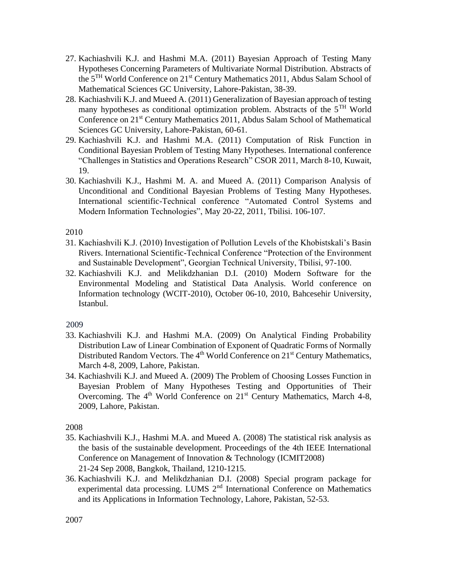- 27. Kachiashvili K.J. and Hashmi M.A. (2011) Bayesian Approach of Testing Many Hypotheses Concerning Parameters of Multivariate Normal Distribution. Abstracts of the 5TH World Conference on 21st Century Mathematics 2011, Abdus Salam School of Mathematical Sciences GC University, Lahore-Pakistan, 38-39.
- 28. Kachiashvili K.J. and Mueed A. (2011) Generalization of Bayesian approach of testing many hypotheses as conditional optimization problem. Abstracts of the  $5<sup>TH</sup>$  World Conference on 21st Century Mathematics 2011, Abdus Salam School of Mathematical Sciences GC University, Lahore-Pakistan, 60-61.
- 29. Kachiashvili K.J. and Hashmi M.A. (2011) Computation of Risk Function in Conditional Bayesian Problem of Testing Many Hypotheses. International conference "Challenges in Statistics and Operations Research" CSOR 2011, March 8-10, Kuwait, 19.
- 30. Kachiashvili K.J., Hashmi M. A. and Mueed A. (2011) Comparison Analysis of Unconditional and Conditional Bayesian Problems of Testing Many Hypotheses. International scientific-Technical conference "Automated Control Systems and Modern Information Technologies", May 20-22, 2011, Tbilisi. 106-107.

### 2010

- 31. Kachiashvili K.J. (2010) Investigation of Pollution Levels of the Khobistskali's Basin Rivers. International Scientific-Technical Conference "Protection of the Environment and Sustainable Development", Georgian Technical University, Tbilisi, 97-100.
- 32. Kachiashvili K.J. and Melikdzhanian D.I. (2010) Modern Software for the Environmental Modeling and Statistical Data Analysis. World conference on Information technology (WCIT-2010), October 06-10, 2010, Bahcesehir University, Istanbul.

### 2009

- 33. Kachiashvili K.J. and Hashmi M.A. (2009) On Analytical Finding Probability Distribution Law of Linear Combination of Exponent of Quadratic Forms of Normally Distributed Random Vectors. The  $4<sup>th</sup>$  World Conference on  $21<sup>st</sup>$  Century Mathematics, March 4-8, 2009, Lahore, Pakistan.
- 34. Kachiashvili K.J. and Mueed A. (2009) The Problem of Choosing Losses Function in Bayesian Problem of Many Hypotheses Testing and Opportunities of Their Overcoming. The 4<sup>th</sup> World Conference on 21<sup>st</sup> Century Mathematics, March 4-8, 2009, Lahore, Pakistan.

- 35. Kachiashvili K.J., Hashmi M.A. and Mueed A. (2008) The statistical risk analysis as the basis of the sustainable development. Proceedings of the 4th IEEE International Conference on Management of Innovation & Technology (ICMIT2008) 21-24 Sep 2008, Bangkok, Thailand, 1210-1215.
- 36. Kachiashvili K.J. and Melikdzhanian D.I. (2008) Special program package for experimental data processing. LUMS 2<sup>nd</sup> International Conference on Mathematics and its Applications in Information Technology, Lahore, Pakistan, 52-53.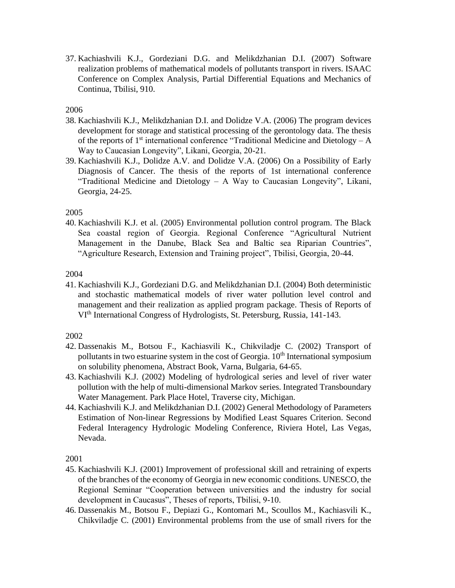37. Kachiashvili K.J., Gordeziani D.G. and Melikdzhanian D.I. (2007) Software realization problems of mathematical models of pollutants transport in rivers. ISAAC Conference on Complex Analysis, Partial Differential Equations and Mechanics of Continua, Tbilisi, 910.

## 2006

- 38. Kachiashvili K.J., Melikdzhanian D.I. and Dolidze V.A. (2006) The program devices development for storage and statistical processing of the gerontology data. The thesis of the reports of  $1<sup>st</sup>$  international conference "Traditional Medicine and Dietology – A Way to Caucasian Longevity", Likani, Georgia, 20-21.
- 39. Kachiashvili K.J., Dolidze A.V. and Dolidze V.A. (2006) On a Possibility of Early Diagnosis of Cancer. The thesis of the reports of 1st international conference "Traditional Medicine and Dietology – A Way to Caucasian Longevity", Likani, Georgia, 24-25.

### 2005

40. Kachiashvili K.J. et al. (2005) Environmental pollution control program. The Black Sea coastal region of Georgia. Regional Conference "Agricultural Nutrient Management in the Danube, Black Sea and Baltic sea Riparian Countries", "Agriculture Research, Extension and Training project", Tbilisi, Georgia, 20-44.

#### 2004

41. Kachiashvili K.J., Gordeziani D.G. and Melikdzhanian D.I. (2004) Both deterministic and stochastic mathematical models of river water pollution level control and management and their realization as applied program package. Thesis of Reports of VIth International Congress of Hydrologists, St. Petersburg, Russia, 141-143.

### 2002

- 42. Dassenakis M., Botsou F., Kachiasvili K., Chikviladje C. (2002) Transport of pollutants in two estuarine system in the cost of Georgia.  $10<sup>th</sup>$  International symposium on solubility phenomena, Abstract Book, Varna, Bulgaria, 64-65.
- 43. Kachiashvili K.J. (2002) Modeling of hydrological series and level of river water pollution with the help of multi-dimensional Markov series. Integrated Transboundary Water Management. Park Place Hotel, Traverse city, Michigan.
- 44. Kachiashvili K.J. and Melikdzhanian D.I. (2002) General Methodology of Parameters Estimation of Non-linear Regressions by Modified Least Squares Criterion. Second Federal Interagency Hydrologic Modeling Conference, Riviera Hotel, Las Vegas, Nevada.

- 45. Kachiashvili K.J. (2001) Improvement of professional skill and retraining of experts of the branches of the economy of Georgia in new economic conditions. UNESCO, the Regional Seminar "Cooperation between universities and the industry for social development in Caucasus", Theses of reports, Tbilisi, 9-10.
- 46. Dassenakis M., Botsou F., Depiazi G., Kontomari M., Scoullos M., Kachiasvili K., Chikviladje C. (2001) Environmental problems from the use of small rivers for the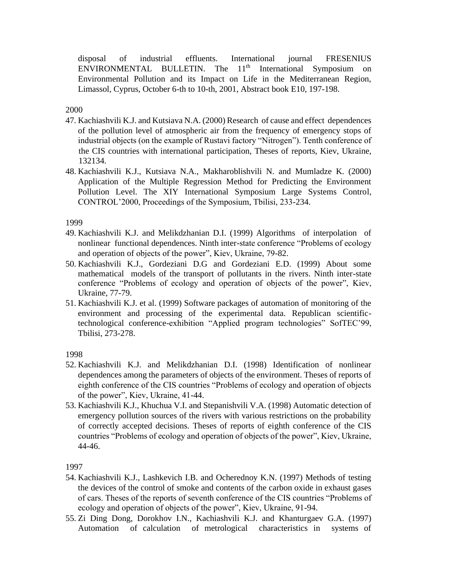disposal of industrial effluents. International journal FRESENIUS  $ENVIRONMENTAL$  BULLETIN. The  $11<sup>th</sup>$  International Symposium on Environmental Pollution and its Impact on Life in the Mediterranean Region, Limassol, Cyprus, October 6-th to 10-th, 2001, Abstract book E10, 197-198.

#### 2000

- 47. Kachiashvili K.J. and Kutsiava N.A. (2000) Research of cause and effect dependences of the pollution level of atmospheric air from the frequency of emergency stops of industrial objects (on the example of Rustavi factory "Nitrogen"). Tenth conference of the CIS countries with international participation, Theses of reports, Kiev, Ukraine, 132134.
- 48. Kachiashvili K.J., Kutsiava N.A., Makharoblishvili N. and Mumladze K. (2000) Application of the Multiple Regression Method for Predicting the Environment Pollution Level. The XIY International Symposium Large Systems Control, CONTROL'2000, Proceedings of the Symposium, Tbilisi, 233-234.

#### 1999

- 49. Kachiashvili K.J. and Melikdzhanian D.I. (1999) Algorithms of interpolation of nonlinear functional dependences. Ninth inter-state conference "Problems of ecology and operation of objects of the power", Kiev, Ukraine, 79-82.
- 50. Kachiashvili K.J., Gordeziani D.G and Gordeziani E.D. (1999) About some mathematical models of the transport of pollutants in the rivers. Ninth inter-state conference "Problems of ecology and operation of objects of the power", Kiev, Ukraine, 77-79.
- 51. Kachiashvili K.J. et al. (1999) Software packages of automation of monitoring of the environment and processing of the experimental data. Republican scientifictechnological conference-exhibition "Applied program technologies" SofTEC'99, Tbilisi, 273-278.

1998

- 52. Kachiashvili K.J. and Melikdzhanian D.I. (1998) Identification of nonlinear dependences among the parameters of objects of the environment. Theses of reports of eighth conference of the CIS countries "Problems of ecology and operation of objects of the power", Kiev, Ukraine, 41-44.
- 53. Kachiashvili K.J., Khuchua V.I. and Stepanishvili V.A. (1998) Automatic detection of emergency pollution sources of the rivers with various restrictions on the probability of correctly accepted decisions. Theses of reports of eighth conference of the CIS countries "Problems of ecology and operation of objects of the power", Kiev, Ukraine, 44-46.

- 54. Kachiashvili K.J., Lashkevich I.B. and Ocherednoy K.N. (1997) Methods of testing the devices of the control of smoke and contents of the carbon oxide in exhaust gases of cars. Theses of the reports of seventh conference of the CIS countries "Problems of ecology and operation of objects of the power", Kiev, Ukraine, 91-94.
- 55. Zi Ding Dong, Dorokhov I.N., Kachiashvili K.J. and Khanturgaev G.A. (1997) Automation of calculation of metrological characteristics in systems of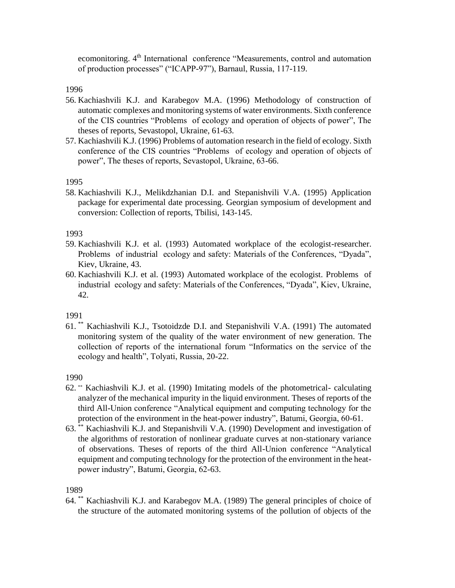ecomonitoring. 4<sup>th</sup> International conference "Measurements, control and automation of production processes" ("ICAPP-97"), Barnaul, Russia, 117-119.

1996

- 56. Kachiashvili K.J. and Karabegov M.A. (1996) Methodology of construction of automatic complexes and monitoring systems of water environments. Sixth conference of the CIS countries "Problems of ecology and operation of objects of power", The theses of reports, Sevastopol, Ukraine, 61-63.
- 57. Kachiashvili K.J. (1996) Problems of automation research in the field of ecology. Sixth conference of the CIS countries "Problems of ecology and operation of objects of power", The theses of reports, Sevastopol, Ukraine, 63-66.

1995

58. Kachiashvili K.J., Melikdzhanian D.I. and Stepanishvili V.A. (1995) Application package for experimental date processing. Georgian symposium of development and conversion: Collection of reports, Tbilisi, 143-145.

1993

- 59. Kachiashvili K.J. et al. (1993) Automated workplace of the ecologist-researcher. Problems of industrial ecology and safety: Materials of the Conferences, "Dyada", Kiev, Ukraine, 43.
- 60. Kachiashvili K.J. et al. (1993) Automated workplace of the ecologist. Problems of industrial ecology and safety: Materials of the Conferences, "Dyada", Kiev, Ukraine, 42.

1991

61. \*\* Kachiashvili K.J., Tsotoidzde D.I. and Stepanishvili V.A. (1991) The automated monitoring system of the quality of the water environment of new generation. The collection of reports of the international forum "Informatics on the service of the ecology and health", Tolyati, Russia, 20-22.

1990

- 62. \*\* Kachiashvili K.J. et al. (1990) Imitating models of the photometrical- calculating analyzer of the mechanical impurity in the liquid environment. Theses of reports of the third All-Union conference "Analytical equipment and computing technology for the protection of the environment in the heat-power industry", Batumi, Georgia, 60-61.
- 63. \*\* Kachiashvili K.J. and Stepanishvili V.A. (1990) Development and investigation of the algorithms of restoration of nonlinear graduate curves at non-stationary variance of observations. Theses of reports of the third All-Union conference "Analytical equipment and computing technology for the protection of the environment in the heatpower industry", Batumi, Georgia, 62-63.

1989

64. \*\* Kachiashvili K.J. and Karabegov M.A. (1989) The general principles of choice of the structure of the automated monitoring systems of the pollution of objects of the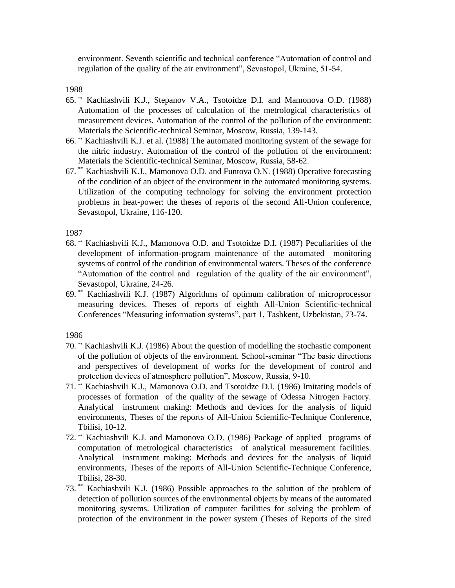environment. Seventh scientific and technical conference "Automation of control and regulation of the quality of the air environment", Sevastopol, Ukraine, 51-54.

1988

- 65. \*\* Kachiashvili K.J., Stepanov V.A., Tsotoidze D.I. and Mamonova O.D. (1988) Automation of the processes of calculation of the metrological characteristics of measurement devices. Automation of the control of the pollution of the environment: Materials the Scientific-technical Seminar, Moscow, Russia, 139-143.
- 66. \*\* Kachiashvili K.J. et al. (1988) The automated monitoring system of the sewage for the nitric industry. Automation of the control of the pollution of the environment: Materials the Scientific-technical Seminar, Moscow, Russia, 58-62.
- 67. \*\* Kachiashvili K.J., Mamonova O.D. and Funtova O.N. (1988) Operative forecasting of the condition of an object of the environment in the automated monitoring systems. Utilization of the computing technology for solving the environment protection problems in heat-power: the theses of reports of the second All-Union conference, Sevastopol, Ukraine, 116-120.

1987

- 68. \*\* Kachiashvili K.J., Mamonova O.D. and Tsotoidze D.I. (1987) Peculiarities of the development of information-program maintenance of the automated monitoring systems of control of the condition of environmental waters. Theses of the conference "Automation of the control and regulation of the quality of the air environment", Sevastopol, Ukraine, 24-26.
- 69. \*\* Kachiashvili K.J. (1987) Algorithms of optimum calibration of microprocessor measuring devices. Theses of reports of eighth All-Union Scientific-technical Conferences "Measuring information systems", part 1, Tashkent, Uzbekistan, 73-74.

- 70. \*\* Kachiashvili K.J. (1986) About the question of modelling the stochastic component of the pollution of objects of the environment. School-seminar "The basic directions and perspectives of development of works for the development of control and protection devices of atmosphere pollution", Moscow, Russia, 9-10.
- 71. \*\* Kachiashvili K.J., Mamonova O.D. and Tsotoidze D.I. (1986) Imitating models of processes of formation of the quality of the sewage of Odessa Nitrogen Factory. Analytical instrument making: Methods and devices for the analysis of liquid environments, Theses of the reports of All-Union Scientific-Technique Conference, Tbilisi, 10-12.
- 72. \*\* Kachiashvili K.J. and Mamonova O.D. (1986) Package of applied programs of computation of metrological characteristics of analytical measurement facilities. Analytical instrument making: Methods and devices for the analysis of liquid environments, Theses of the reports of All-Union Scientific-Technique Conference, Tbilisi, 28-30.
- 73. \*\* Kachiashvili K.J. (1986) Possible approaches to the solution of the problem of detection of pollution sources of the environmental objects by means of the automated monitoring systems. Utilization of computer facilities for solving the problem of protection of the environment in the power system (Theses of Reports of the sired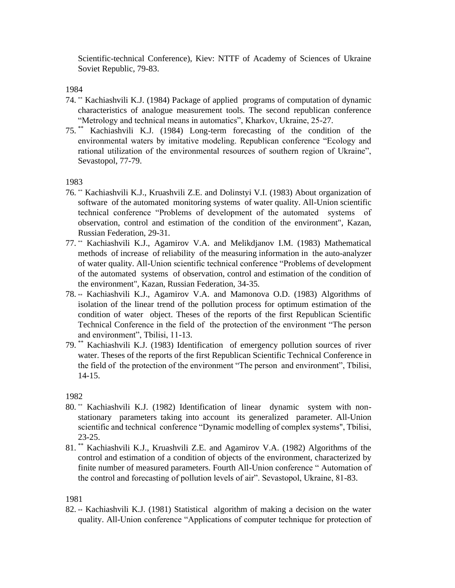Scientific-technical Conference), Kiev: NTTF of Academy of Sciences of Ukraine Soviet Republic, 79-83.

### 1984

- 74. \*\* Kachiashvili K.J. (1984) Package of applied programs of computation of dynamic characteristics of analogue measurement tools. The second republican conference "Metrology and technical means in automatics", Kharkov, Ukraine, 25-27.
- 75. \*\* Kachiashvili K.J. (1984) Long-term forecasting of the condition of the environmental waters by imitative modeling. Republican conference "Ecology and rational utilization of the environmental resources of southern region of Ukraine", Sevastopol, 77-79.

### 1983

- 76. \*\* Kachiashvili K.J., Kruashvili Z.E. and Dolinstyi V.I. (1983) About organization of software of the automated monitoring systems of water quality. All-Union scientific technical conference "Problems of development of the automated systems of observation, control and estimation of the condition of the environment", Kazan, Russian Federation, 29-31.
- 77. \*\* Kachiashvili K.J., Agamirov V.A. and Melikdjanov I.M. (1983) Mathematical methods of increase of reliability of the measuring information in the auto-analyzer of water quality. All-Union scientific technical conference "Problems of development of the automated systems of observation, control and estimation of the condition of the environment", Kazan, Russian Federation, 34-35.
- 78. \*\* Kachiashvili K.J., Agamirov V.A. and Mamonova O.D. (1983) Algorithms of isolation of the linear trend of the pollution process for optimum estimation of the condition of water object. Theses of the reports of the first Republican Scientific Technical Conference in the field of the protection of the environment "The person and environment", Tbilisi, 11-13.
- 79. \*\* Kachiashvili K.J. (1983) Identification of emergency pollution sources of river water. Theses of the reports of the first Republican Scientific Technical Conference in the field of the protection of the environment "The person and environment", Tbilisi, 14-15.

### 1982

- 80. \*\* Kachiashvili K.J. (1982) Identification of linear dynamic system with nonstationary parameters taking into account its generalized parameter. All-Union scientific and technical conference "Dynamic modelling of complex systems", Tbilisi, 23-25.
- 81. \*\* Kachiashvili K.J., Kruashvili Z.E. and Agamirov V.A. (1982) Algorithms of the control and estimation of a condition of objects of the environment, characterized by finite number of measured parameters. Fourth All-Union conference " Automation of the control and forecasting of pollution levels of air". Sevastopol, Ukraine, 81-83.

### 1981

82. \*\* Kachiashvili K.J. (1981) Statistical algorithm of making a decision on the water quality. All-Union conference "Applications of computer technique for protection of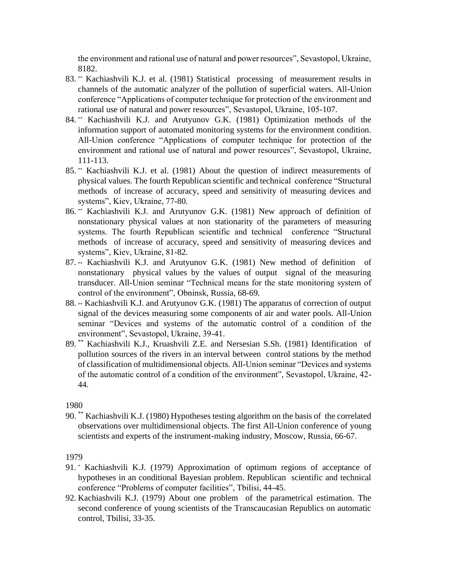the environment and rational use of natural and power resources", Sevastopol, Ukraine, 8182.

- 83. \*\* Kachiashvili K.J. et al. (1981) Statistical processing of measurement results in channels of the automatic analyzer of the pollution of superficial waters. All-Union conference "Applications of computer technique for protection of the environment and rational use of natural and power resources", Sevastopol, Ukraine, 105-107.
- 84. \*\* Kachiashvili K.J. and Arutyunov G.K. (1981) Optimization methods of the information support of automated monitoring systems for the environment condition. All-Union conference "Applications of computer technique for protection of the environment and rational use of natural and power resources", Sevastopol, Ukraine, 111-113.
- 85. \*\* Kachiashvili K.J. et al. (1981) About the question of indirect measurements of physical values. The fourth Republican scientific and technical conference "Structural methods of increase of accuracy, speed and sensitivity of measuring devices and systems", Kiev, Ukraine, 77-80.
- 86. \*\* Kachiashvili K.J. and Arutyunov G.K. (1981) New approach of definition of nonstationary physical values at non stationarity of the parameters of measuring systems. The fourth Republican scientific and technical conference "Structural methods of increase of accuracy, speed and sensitivity of measuring devices and systems", Kiev, Ukraine, 81-82.
- 87. \*\* Kachiashvili K.J. and Arutyunov G.K. (1981) New method of definition of nonstationary physical values by the values of output signal of the measuring transducer. All-Union seminar "Technical means for the state monitoring system of control of the environment", Obninsk, Russia, 68-69.
- 88. \*\* Kachiashvili K.J. and Arutyunov G.K. (1981) The apparatus of correction of output signal of the devices measuring some components of air and water pools. All-Union seminar "Devices and systems of the automatic control of a condition of the environment", Sevastopol, Ukraine, 39-41.
- 89. \*\* Kachiashvili K.J., Kruashvili Z.E. and Nersesian S.Sh. (1981) Identification of pollution sources of the rivers in an interval between control stations by the method of classification of multidimensional objects. All-Union seminar "Devices and systems of the automatic control of a condition of the environment", Sevastopol, Ukraine, 42- 44.

1980

90. \*\* Kachiashvili K.J. (1980) Hypotheses testing algorithm on the basis of the correlated observations over multidimensional objects. The first All-Union conference of young scientists and experts of the instrument-making industry, Moscow, Russia, 66-67.

- 91. \* Kachiashvili K.J. (1979) Approximation of optimum regions of acceptance of hypotheses in an conditional Bayesian problem. Republican scientific and technical conference "Problems of computer facilities", Tbilisi, 44-45.
- 92. Kachiashvili K.J. (1979) About one problem of the parametrical estimation. The second conference of young scientists of the Transcaucasian Republics on automatic control, Tbilisi, 33-35.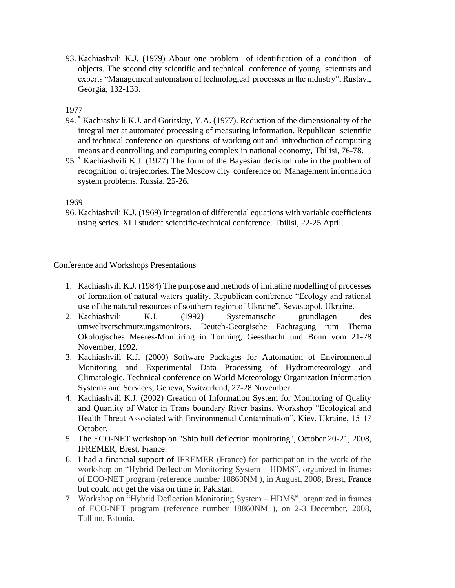93. Kachiashvili K.J. (1979) About one problem of identification of a condition of objects. The second city scientific and technical conference of young scientists and experts "Management automation of technological processes in the industry", Rustavi, Georgia, 132-133.

## 1977

- 94. \* Kachiashvili K.J. and Goritskiy, Y.A. (1977). Reduction of the dimensionality of the integral met at automated processing of measuring information. Republican scientific and technical conference on questions of working out and introduction of computing means and controlling and computing complex in national economy, Tbilisi, 76-78.
- 95. \* Kachiashvili K.J. (1977) The form of the Bayesian decision rule in the problem of recognition of trajectories. The Moscow city conference on Management information system problems, Russia, 25-26.

### 1969

96. Kachiashvili K.J. (1969) Integration of differential equations with variable coefficients using series. XLI student scientific-technical conference. Tbilisi, 22-25 April.

Conference and Workshops Presentations

- 1. Kachiashvili K.J. (1984) The purpose and methods of imitating modelling of processes of formation of natural waters quality. Republican conference "Ecology and rational use of the natural resources of southern region of Ukraine", Sevastopol, Ukraine.
- 2. Kachiashvili K.J. (1992) Systematische grundlagen des umweltverschmutzungsmonitors. Deutch-Georgische Fachtagung rum Thema Okologisches Meeres-Monitiring in Tonning, Geesthacht und Bonn vom 21-28 November, 1992.
- 3. Kachiashvili K.J. (2000) Software Packages for Automation of Environmental Monitoring and Experimental Data Processing of Hydrometeorology and Climatologic. Technical conference on World Meteorology Organization Information Systems and Services, Geneva, Switzerlend, 27-28 November.
- 4. Kachiashvili K.J. (2002) Creation of Information System for Monitoring of Quality and Quantity of Water in Trans boundary River basins. Workshop "Ecological and Health Threat Associated with Environmental Contamination", Kiev, Ukraine, 15-17 October.
- 5. The ECO-NET workshop on "Ship hull deflection monitoring", October 20-21, 2008, IFREMER, Brest, France.
- 6. I had a financial support of IFREMER (France) for participation in the work of the workshop on "Hybrid Deflection Monitoring System – HDMS", organized in frames of ECO-NET program (reference number 18860NM ), in August, 2008, Brest, France but could not get the visa on time in Pakistan.
- 7. Workshop on "Hybrid Deflection Monitoring System HDMS", organized in frames of ECO-NET program (reference number 18860NM ), on 2-3 December, 2008, Tallinn, Estonia.